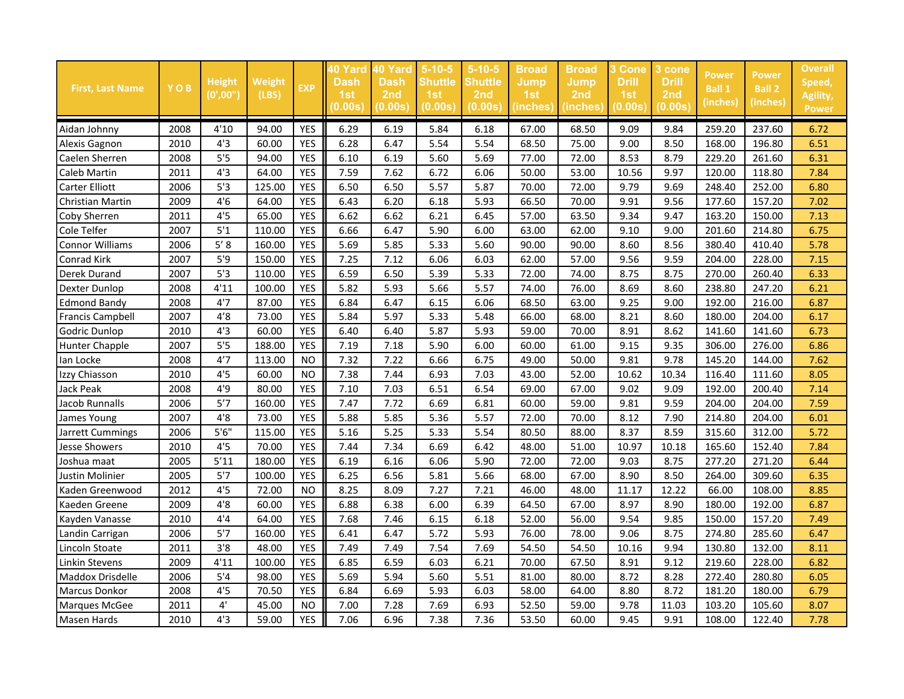| <b>First, Last Name</b> | YOB  | <b>Height</b><br>(0',00'') | Weight<br>(LBS) | <b>EXP</b> | 40 Yard<br>Dash<br>1st<br>(0.00s) | 10 Yard<br><b>Dash</b><br>2nd<br>(0.00s) | $5-10-5$<br><b>Shuttle</b><br>1st<br>(0.00s) | $5 - 10 - 5$<br><b>Shuttle</b><br>2 <sub>nd</sub><br>(0.00s) | <b>Broad</b><br><b>Jump</b><br>1st<br>(inches) | <b>Broad</b><br><b>Jump</b><br>2nd<br>(inches) | 3 Cone<br><b>Drill</b><br>1st<br>(0.00s) | <u>3 cone</u><br><b>Drill</b><br>2 <sub>nd</sub><br>(0.00s) | <b>Power</b><br><b>Ball 1</b><br>(inches) | <b>Power</b><br><b>Ball 2</b><br>(inches) | Overall<br>Speed,<br>Agility,<br><b>Power</b> |
|-------------------------|------|----------------------------|-----------------|------------|-----------------------------------|------------------------------------------|----------------------------------------------|--------------------------------------------------------------|------------------------------------------------|------------------------------------------------|------------------------------------------|-------------------------------------------------------------|-------------------------------------------|-------------------------------------------|-----------------------------------------------|
| Aidan Johnny            | 2008 | 4'10                       | 94.00           | YES        | 6.29                              | 6.19                                     | 5.84                                         | 6.18                                                         | 67.00                                          | 68.50                                          | 9.09                                     | 9.84                                                        | 259.20                                    | 237.60                                    | 6.72                                          |
| Alexis Gagnon           | 2010 | 4'3                        | 60.00           | <b>YES</b> | 6.28                              | 6.47                                     | 5.54                                         | 5.54                                                         | 68.50                                          | 75.00                                          | 9.00                                     | 8.50                                                        | 168.00                                    | 196.80                                    | 6.51                                          |
| Caelen Sherren          | 2008 | 5'5                        | 94.00           | <b>YES</b> | 6.10                              | 6.19                                     | 5.60                                         | 5.69                                                         | 77.00                                          | 72.00                                          | 8.53                                     | 8.79                                                        | 229.20                                    | 261.60                                    | 6.31                                          |
| Caleb Martin            | 2011 | 4'3                        | 64.00           | <b>YES</b> | 7.59                              | 7.62                                     | 6.72                                         | 6.06                                                         | 50.00                                          | 53.00                                          | 10.56                                    | 9.97                                                        | 120.00                                    | 118.80                                    | 7.84                                          |
| Carter Elliott          | 2006 | 5'3                        | 125.00          | <b>YES</b> | 6.50                              | 6.50                                     | 5.57                                         | 5.87                                                         | 70.00                                          | 72.00                                          | 9.79                                     | 9.69                                                        | 248.40                                    | 252.00                                    | 6.80                                          |
| Christian Martin        | 2009 | 4'6                        | 64.00           | <b>YES</b> | 6.43                              | 6.20                                     | 6.18                                         | 5.93                                                         | 66.50                                          | 70.00                                          | 9.91                                     | 9.56                                                        | 177.60                                    | 157.20                                    | 7.02                                          |
| Coby Sherren            | 2011 | 4'5                        | 65.00           | <b>YES</b> | 6.62                              | 6.62                                     | 6.21                                         | 6.45                                                         | 57.00                                          | 63.50                                          | 9.34                                     | 9.47                                                        | 163.20                                    | 150.00                                    | 7.13                                          |
| Cole Telfer             | 2007 | $5'1$                      | 110.00          | <b>YES</b> | 6.66                              | 6.47                                     | 5.90                                         | 6.00                                                         | 63.00                                          | 62.00                                          | 9.10                                     | 9.00                                                        | 201.60                                    | 214.80                                    | 6.75                                          |
| <b>Connor Williams</b>  | 2006 | $5' 8$                     | 160.00          | <b>YES</b> | 5.69                              | 5.85                                     | 5.33                                         | 5.60                                                         | 90.00                                          | 90.00                                          | 8.60                                     | 8.56                                                        | 380.40                                    | 410.40                                    | 5.78                                          |
| Conrad Kirk             | 2007 | 5'9                        | 150.00          | <b>YES</b> | 7.25                              | 7.12                                     | 6.06                                         | 6.03                                                         | 62.00                                          | 57.00                                          | 9.56                                     | 9.59                                                        | 204.00                                    | 228.00                                    | 7.15                                          |
| Derek Durand            | 2007 | 5'3                        | 110.00          | <b>YES</b> | 6.59                              | 6.50                                     | 5.39                                         | 5.33                                                         | 72.00                                          | 74.00                                          | 8.75                                     | 8.75                                                        | 270.00                                    | 260.40                                    | 6.33                                          |
| <b>Dexter Dunlop</b>    | 2008 | 4'11                       | 100.00          | <b>YES</b> | 5.82                              | 5.93                                     | 5.66                                         | 5.57                                                         | 74.00                                          | 76.00                                          | 8.69                                     | 8.60                                                        | 238.80                                    | 247.20                                    | 6.21                                          |
| <b>Edmond Bandy</b>     | 2008 | 4'7                        | 87.00           | <b>YES</b> | 6.84                              | 6.47                                     | 6.15                                         | 6.06                                                         | 68.50                                          | 63.00                                          | 9.25                                     | 9.00                                                        | 192.00                                    | 216.00                                    | 6.87                                          |
| <b>Francis Campbell</b> | 2007 | 4'8                        | 73.00           | <b>YES</b> | 5.84                              | 5.97                                     | 5.33                                         | 5.48                                                         | 66.00                                          | 68.00                                          | 8.21                                     | 8.60                                                        | 180.00                                    | 204.00                                    | 6.17                                          |
| Godric Dunlop           | 2010 | 4'3                        | 60.00           | <b>YES</b> | 6.40                              | 6.40                                     | 5.87                                         | 5.93                                                         | 59.00                                          | 70.00                                          | 8.91                                     | 8.62                                                        | 141.60                                    | 141.60                                    | 6.73                                          |
| Hunter Chapple          | 2007 | 5'5                        | 188.00          | <b>YES</b> | 7.19                              | 7.18                                     | 5.90                                         | 6.00                                                         | 60.00                                          | 61.00                                          | 9.15                                     | 9.35                                                        | 306.00                                    | 276.00                                    | 6.86                                          |
| Ian Locke               | 2008 | 4'7                        | 113.00          | <b>NO</b>  | 7.32                              | 7.22                                     | 6.66                                         | 6.75                                                         | 49.00                                          | 50.00                                          | 9.81                                     | 9.78                                                        | 145.20                                    | 144.00                                    | 7.62                                          |
| Izzy Chiasson           | 2010 | 4'5                        | 60.00           | <b>NO</b>  | 7.38                              | 7.44                                     | 6.93                                         | 7.03                                                         | 43.00                                          | 52.00                                          | 10.62                                    | 10.34                                                       | 116.40                                    | 111.60                                    | 8.05                                          |
| <b>Jack Peak</b>        | 2008 | 4'9                        | 80.00           | <b>YES</b> | 7.10                              | 7.03                                     | 6.51                                         | 6.54                                                         | 69.00                                          | 67.00                                          | 9.02                                     | 9.09                                                        | 192.00                                    | 200.40                                    | 7.14                                          |
| Jacob Runnalls          | 2006 | 5'7                        | 160.00          | <b>YES</b> | 7.47                              | 7.72                                     | 6.69                                         | 6.81                                                         | 60.00                                          | 59.00                                          | 9.81                                     | 9.59                                                        | 204.00                                    | 204.00                                    | 7.59                                          |
| James Young             | 2007 | $4'8$                      | 73.00           | <b>YES</b> | 5.88                              | 5.85                                     | 5.36                                         | 5.57                                                         | 72.00                                          | 70.00                                          | 8.12                                     | 7.90                                                        | 214.80                                    | 204.00                                    | 6.01                                          |
| Jarrett Cummings        | 2006 | 5'6''                      | 115.00          | <b>YES</b> | 5.16                              | 5.25                                     | 5.33                                         | 5.54                                                         | 80.50                                          | 88.00                                          | 8.37                                     | 8.59                                                        | 315.60                                    | 312.00                                    | 5.72                                          |
| <b>Jesse Showers</b>    | 2010 | 4'5                        | 70.00           | <b>YES</b> | 7.44                              | 7.34                                     | 6.69                                         | 6.42                                                         | 48.00                                          | 51.00                                          | 10.97                                    | 10.18                                                       | 165.60                                    | 152.40                                    | 7.84                                          |
| Joshua maat             | 2005 | 5'11                       | 180.00          | <b>YES</b> | 6.19                              | 6.16                                     | 6.06                                         | 5.90                                                         | 72.00                                          | 72.00                                          | 9.03                                     | 8.75                                                        | 277.20                                    | 271.20                                    | 6.44                                          |
| Justin Molinier         | 2005 | 5'7                        | 100.00          | <b>YES</b> | 6.25                              | 6.56                                     | 5.81                                         | 5.66                                                         | 68.00                                          | 67.00                                          | 8.90                                     | 8.50                                                        | 264.00                                    | 309.60                                    | 6.35                                          |
| Kaden Greenwood         | 2012 | 4'5                        | 72.00           | <b>NO</b>  | 8.25                              | 8.09                                     | 7.27                                         | 7.21                                                         | 46.00                                          | 48.00                                          | 11.17                                    | 12.22                                                       | 66.00                                     | 108.00                                    | 8.85                                          |
| Kaeden Greene           | 2009 | $4'8$                      | 60.00           | <b>YES</b> | 6.88                              | 6.38                                     | 6.00                                         | 6.39                                                         | 64.50                                          | 67.00                                          | 8.97                                     | 8.90                                                        | 180.00                                    | 192.00                                    | 6.87                                          |
| Kayden Vanasse          | 2010 | 4'4                        | 64.00           | <b>YES</b> | 7.68                              | 7.46                                     | 6.15                                         | 6.18                                                         | 52.00                                          | 56.00                                          | 9.54                                     | 9.85                                                        | 150.00                                    | 157.20                                    | 7.49                                          |
| Landin Carrigan         | 2006 | 5'7                        | 160.00          | <b>YES</b> | 6.41                              | 6.47                                     | 5.72                                         | 5.93                                                         | 76.00                                          | 78.00                                          | 9.06                                     | 8.75                                                        | 274.80                                    | 285.60                                    | 6.47                                          |
| Lincoln Stoate          | 2011 | 3'8                        | 48.00           | <b>YES</b> | 7.49                              | 7.49                                     | 7.54                                         | 7.69                                                         | 54.50                                          | 54.50                                          | 10.16                                    | 9.94                                                        | 130.80                                    | 132.00                                    | 8.11                                          |
| <b>Linkin Stevens</b>   | 2009 | 4'11                       | 100.00          | <b>YES</b> | 6.85                              | 6.59                                     | 6.03                                         | 6.21                                                         | 70.00                                          | 67.50                                          | 8.91                                     | 9.12                                                        | 219.60                                    | 228.00                                    | 6.82                                          |
| Maddox Drisdelle        | 2006 | 5'4                        | 98.00           | <b>YES</b> | 5.69                              | 5.94                                     | 5.60                                         | 5.51                                                         | 81.00                                          | 80.00                                          | 8.72                                     | 8.28                                                        | 272.40                                    | 280.80                                    | 6.05                                          |
| <b>Marcus Donkor</b>    | 2008 | 4'5                        | 70.50           | <b>YES</b> | 6.84                              | 6.69                                     | 5.93                                         | 6.03                                                         | 58.00                                          | 64.00                                          | 8.80                                     | 8.72                                                        | 181.20                                    | 180.00                                    | 6.79                                          |
| Marques McGee           | 2011 | 4'                         | 45.00           | <b>NO</b>  | 7.00                              | 7.28                                     | 7.69                                         | 6.93                                                         | 52.50                                          | 59.00                                          | 9.78                                     | 11.03                                                       | 103.20                                    | 105.60                                    | 8.07                                          |
| Masen Hards             | 2010 | 4'3                        | 59.00           | <b>YES</b> | 7.06                              | 6.96                                     | 7.38                                         | 7.36                                                         | 53.50                                          | 60.00                                          | 9.45                                     | 9.91                                                        | 108.00                                    | 122.40                                    | 7.78                                          |